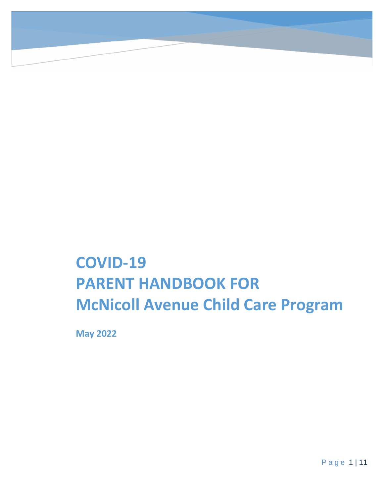# **COVID-19 PARENT HANDBOOK FOR McNicoll Avenue Child Care Program**

**May 2022**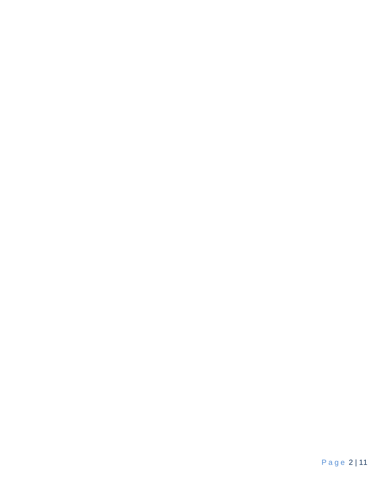P a g e 2 | 11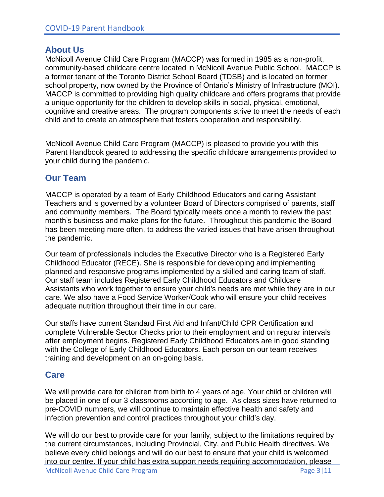## **About Us**

McNicoll Avenue Child Care Program (MACCP) was formed in 1985 as a non-profit, community-based childcare centre located in McNicoll Avenue Public School. MACCP is a former tenant of the Toronto District School Board (TDSB) and is located on former school property, now owned by the Province of Ontario's Ministry of Infrastructure (MOI). MACCP is committed to providing high quality childcare and offers programs that provide a unique opportunity for the children to develop skills in social, physical, emotional, cognitive and creative areas. The program components strive to meet the needs of each child and to create an atmosphere that fosters cooperation and responsibility.

McNicoll Avenue Child Care Program (MACCP) is pleased to provide you with this Parent Handbook geared to addressing the specific childcare arrangements provided to your child during the pandemic.

### **Our Team**

MACCP is operated by a team of Early Childhood Educators and caring Assistant Teachers and is governed by a volunteer Board of Directors comprised of parents, staff and community members. The Board typically meets once a month to review the past month's business and make plans for the future. Throughout this pandemic the Board has been meeting more often, to address the varied issues that have arisen throughout the pandemic.

Our team of professionals includes the Executive Director who is a Registered Early Childhood Educator (RECE). She is responsible for developing and implementing planned and responsive programs implemented by a skilled and caring team of staff. Our staff team includes Registered Early Childhood Educators and Childcare Assistants who work together to ensure your child's needs are met while they are in our care. We also have a Food Service Worker/Cook who will ensure your child receives adequate nutrition throughout their time in our care.

Our staffs have current Standard First Aid and Infant/Child CPR Certification and complete Vulnerable Sector Checks prior to their employment and on regular intervals after employment begins. Registered Early Childhood Educators are in good standing with the College of Early Childhood Educators. Each person on our team receives training and development on an on-going basis.

### **Care**

We will provide care for children from birth to 4 years of age. Your child or children will be placed in one of our 3 classrooms according to age. As class sizes have returned to pre-COVID numbers, we will continue to maintain effective health and safety and infection prevention and control practices throughout your child's day.

McNicoll Avenue Child Care Program **Page 3** | 11 We will do our best to provide care for your family, subject to the limitations required by the current circumstances, including Provincial, City, and Public Health directives. We believe every child belongs and will do our best to ensure that your child is welcomed into our centre. If your child has extra support needs requiring accommodation, please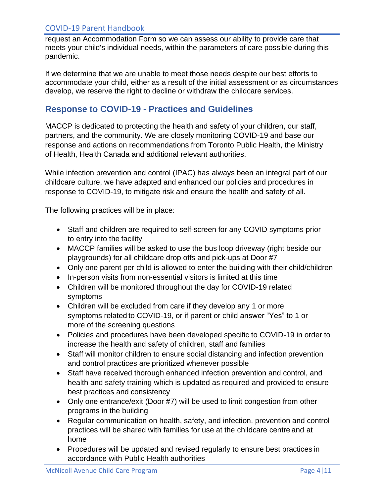#### COVID-19 Parent Handbook

request an Accommodation Form so we can assess our ability to provide care that meets your child's individual needs, within the parameters of care possible during this pandemic.

If we determine that we are unable to meet those needs despite our best efforts to accommodate your child, either as a result of the initial assessment or as circumstances develop, we reserve the right to decline or withdraw the childcare services.

## **Response to COVID-19 - Practices and Guidelines**

MACCP is dedicated to protecting the health and safety of your children, our staff, partners, and the community. We are closely monitoring COVID-19 and base our response and actions on recommendations from Toronto Public Health, the Ministry of Health, Health Canada and additional relevant authorities.

While infection prevention and control (IPAC) has always been an integral part of our childcare culture, we have adapted and enhanced our policies and procedures in response to COVID-19, to mitigate risk and ensure the health and safety of all.

The following practices will be in place:

- Staff and children are required to self-screen for any COVID symptoms prior to entry into the facility
- MACCP families will be asked to use the bus loop driveway (right beside our playgrounds) for all childcare drop offs and pick-ups at Door #7
- Only one parent per child is allowed to enter the building with their child/children
- In-person visits from non-essential visitors is limited at this time
- Children will be monitored throughout the day for COVID-19 related symptoms
- Children will be excluded from care if they develop any 1 or more symptoms related to COVID-19, or if parent or child answer "Yes" to 1 or more of the screening questions
- Policies and procedures have been developed specific to COVID-19 in order to increase the health and safety of children, staff and families
- Staff will monitor children to ensure social distancing and infection prevention and control practices are prioritized whenever possible
- Staff have received thorough enhanced infection prevention and control, and health and safety training which is updated as required and provided to ensure best practices and consistency
- Only one entrance/exit (Door #7) will be used to limit congestion from other programs in the building
- Regular communication on health, safety, and infection, prevention and control practices will be shared with families for use at the childcare centre and at home
- Procedures will be updated and revised regularly to ensure best practices in accordance with Public Health authorities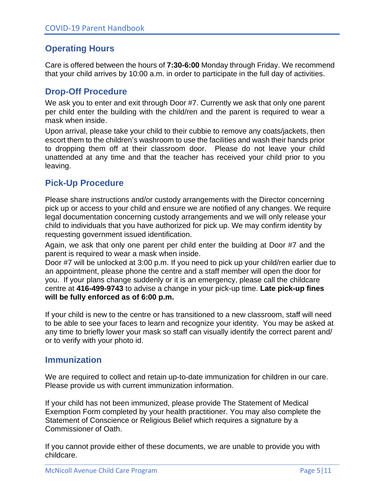# **Operating Hours**

Care is offered between the hours of **7:30-6:00** Monday through Friday. We recommend that your child arrives by 10:00 a.m. in order to participate in the full day of activities.

## **Drop-Off Procedure**

We ask you to enter and exit through Door #7. Currently we ask that only one parent per child enter the building with the child/ren and the parent is required to wear a mask when inside.

Upon arrival, please take your child to their cubbie to remove any coats/jackets, then escort them to the children's washroom to use the facilities and wash their hands prior to dropping them off at their classroom door. Please do not leave your child unattended at any time and that the teacher has received your child prior to you leaving.

# **Pick-Up Procedure**

Please share instructions and/or custody arrangements with the Director concerning pick up or access to your child and ensure we are notified of any changes. We require legal documentation concerning custody arrangements and we will only release your child to individuals that you have authorized for pick up. We may confirm identity by requesting government issued identification.

Again, we ask that only one parent per child enter the building at Door #7 and the parent is required to wear a mask when inside.

Door #7 will be unlocked at 3:00 p.m. If you need to pick up your child/ren earlier due to an appointment, please phone the centre and a staff member will open the door for you. If your plans change suddenly or it is an emergency, please call the childcare centre at **416-499-9743** to advise a change in your pick-up time. **Late pick-up fines will be fully enforced as of 6:00 p.m.**

If your child is new to the centre or has transitioned to a new classroom, staff will need to be able to see your faces to learn and recognize your identity. You may be asked at any time to briefly lower your mask so staff can visually identify the correct parent and/ or to verify with your photo id.

## **Immunization**

We are required to collect and retain up-to-date immunization for children in our care. Please provide us with current immunization information.

If your child has not been immunized, please provide The Statement of Medical Exemption Form completed by your health practitioner. You may also complete the Statement of Conscience or Religious Belief which requires a signature by a Commissioner of Oath.

If you cannot provide either of these documents, we are unable to provide you with childcare.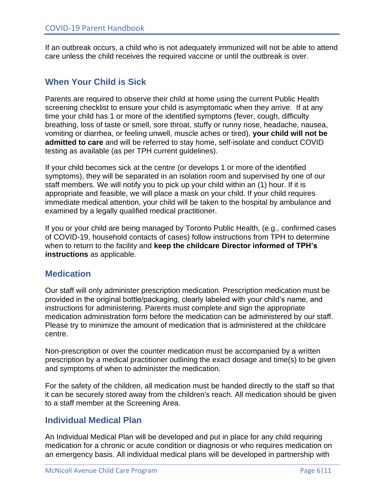If an outbreak occurs, a child who is not adequately immunized will not be able to attend care unless the child receives the required vaccine or until the outbreak is over.

## **When Your Child is Sick**

Parents are required to observe their child at home using the current Public Health screening checklist to ensure your child is asymptomatic when they arrive. If at any time your child has 1 or more of the identified symptoms (fever, cough, difficulty breathing, loss of taste or smell, sore throat, stuffy or runny nose, headache, nausea, vomiting or diarrhea, or feeling unwell, muscle aches or tired), **your child will not be admitted to care** and will be referred to stay home, self-isolate and conduct COVID testing as available (as per TPH current guidelines).

If your child becomes sick at the centre (or develops 1 or more of the identified symptoms), they will be separated in an isolation room and supervised by one of our staff members. We will notify you to pick up your child within an (1) hour. If it is appropriate and feasible, we will place a mask on your child. If your child requires immediate medical attention, your child will be taken to the hospital by ambulance and examined by a legally qualified medical practitioner.

If you or your child are being managed by Toronto Public Health, (e.g., confirmed cases of COVID-19, household contacts of cases) follow instructions from TPH to determine when to return to the facility and **keep the childcare Director informed of TPH's instructions** as applicable.

### **Medication**

Our staff will only administer prescription medication. Prescription medication must be provided in the original bottle/packaging, clearly labeled with your child's name, and instructions for administering. Parents must complete and sign the appropriate medication administration form before the medication can be administered by our staff. Please try to minimize the amount of medication that is administered at the childcare centre.

Non-prescription or over the counter medication must be accompanied by a written prescription by a medical practitioner outlining the exact dosage and time(s) to be given and symptoms of when to administer the medication.

For the safety of the children, all medication must be handed directly to the staff so that it can be securely stored away from the children's reach. All medication should be given to a staff member at the Screening Area.

## **Individual Medical Plan**

An Individual Medical Plan will be developed and put in place for any child requiring medication for a chronic or acute condition or diagnosis or who requires medication on an emergency basis. All individual medical plans will be developed in partnership with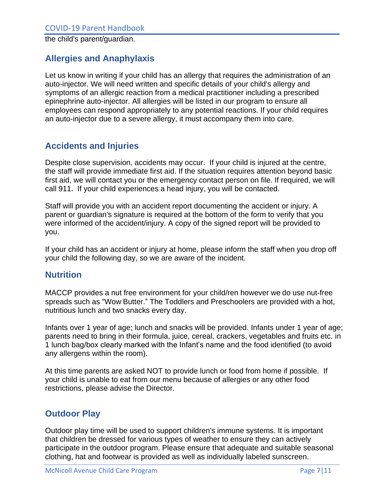the child's parent/guardian.

# **Allergies and Anaphylaxis**

Let us know in writing if your child has an allergy that requires the administration of an auto-injector. We will need written and specific details of your child's allergy and symptoms of an allergic reaction from a medical practitioner including a prescribed epinephrine auto-injector. All allergies will be listed in our program to ensure all employees can respond appropriately to any potential reactions. If your child requires an auto-injector due to a severe allergy, it must accompany them into care.

# **Accidents and Injuries**

Despite close supervision, accidents may occur. If your child is injured at the centre, the staff will provide immediate first aid. If the situation requires attention beyond basic first aid, we will contact you or the emergency contact person on file. If required, we will call 911. If your child experiences a head injury, you will be contacted.

Staff will provide you with an accident report documenting the accident or injury. A parent or guardian's signature is required at the bottom of the form to verify that you were informed of the accident/injury. A copy of the signed report will be provided to you.

If your child has an accident or injury at home, please inform the staff when you drop off your child the following day, so we are aware of the incident.

### **Nutrition**

MACCP provides a nut free environment for your child/ren however we do use nut-free spreads such as "Wow Butter." The Toddlers and Preschoolers are provided with a hot, nutritious lunch and two snacks every day.

Infants over 1 year of age; lunch and snacks will be provided. Infants under 1 year of age; parents need to bring in their formula, juice, cereal, crackers, vegetables and fruits etc. in 1 lunch bag/box clearly marked with the Infant's name and the food identified (to avoid any allergens within the room).

At this time parents are asked NOT to provide lunch or food from home if possible. If your child is unable to eat from our menu because of allergies or any other food restrictions, please advise the Director.

## **Outdoor Play**

Outdoor play time will be used to support children's immune systems. It is important that children be dressed for various types of weather to ensure they can actively participate in the outdoor program. Please ensure that adequate and suitable seasonal clothing, hat and footwear is provided as well as individually labeled sunscreen.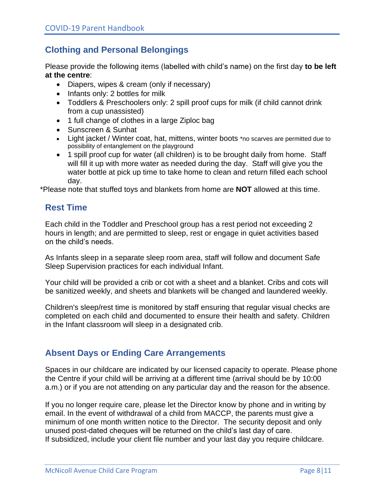# **Clothing and Personal Belongings**

Please provide the following items (labelled with child's name) on the first day **to be left at the centre**:

- Diapers, wipes & cream (only if necessary)
- Infants only: 2 bottles for milk
- Toddlers & Preschoolers only: 2 spill proof cups for milk (if child cannot drink from a cup unassisted)
- 1 full change of clothes in a large Ziploc bag
- Sunscreen & Sunhat
- Light jacket / Winter coat, hat, mittens, winter boots \*no scarves are permitted due to possibility of entanglement on the playground
- 1 spill proof cup for water (all children) is to be brought daily from home. Staff will fill it up with more water as needed during the day. Staff will give you the water bottle at pick up time to take home to clean and return filled each school day.

\*Please note that stuffed toys and blankets from home are **NOT** allowed at this time.

# **Rest Time**

Each child in the Toddler and Preschool group has a rest period not exceeding 2 hours in length; and are permitted to sleep, rest or engage in quiet activities based on the child's needs.

As Infants sleep in a separate sleep room area, staff will follow and document Safe Sleep Supervision practices for each individual Infant.

Your child will be provided a crib or cot with a sheet and a blanket. Cribs and cots will be sanitized weekly, and sheets and blankets will be changed and laundered weekly.

Children's sleep/rest time is monitored by staff ensuring that regular visual checks are completed on each child and documented to ensure their health and safety. Children in the Infant classroom will sleep in a designated crib.

# **Absent Days or Ending Care Arrangements**

Spaces in our childcare are indicated by our licensed capacity to operate. Please phone the Centre if your child will be arriving at a different time (arrival should be by 10:00 a.m.) or if you are not attending on any particular day and the reason for the absence.

If you no longer require care, please let the Director know by phone and in writing by email. In the event of withdrawal of a child from MACCP, the parents must give a minimum of one month written notice to the Director. The security deposit and only unused post-dated cheques will be returned on the child's last day of care. If subsidized, include your client file number and your last day you require childcare.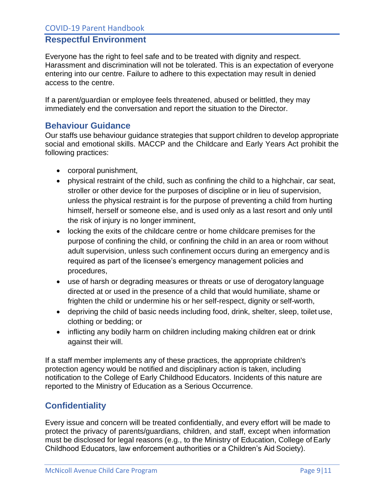### **Respectful Environment**

Everyone has the right to feel safe and to be treated with dignity and respect. Harassment and discrimination will not be tolerated. This is an expectation of everyone entering into our centre. Failure to adhere to this expectation may result in denied access to the centre.

If a parent/guardian or employee feels threatened, abused or belittled, they may immediately end the conversation and report the situation to the Director.

#### **Behaviour Guidance**

Our staffs use behaviour guidance strategies that support children to develop appropriate social and emotional skills. MACCP and the Childcare and Early Years Act prohibit the following practices:

- corporal punishment,
- physical restraint of the child, such as confining the child to a highchair, car seat, stroller or other device for the purposes of discipline or in lieu of supervision, unless the physical restraint is for the purpose of preventing a child from hurting himself, herself or someone else, and is used only as a last resort and only until the risk of injury is no longer imminent,
- locking the exits of the childcare centre or home childcare premises for the purpose of confining the child, or confining the child in an area or room without adult supervision, unless such confinement occurs during an emergency and is required as part of the licensee's emergency management policies and procedures,
- use of harsh or degrading measures or threats or use of derogatory language directed at or used in the presence of a child that would humiliate, shame or frighten the child or undermine his or her self-respect, dignity or self-worth,
- depriving the child of basic needs including food, drink, shelter, sleep, toilet use, clothing or bedding; or
- inflicting any bodily harm on children including making children eat or drink against their will.

If a staff member implements any of these practices, the appropriate children's protection agency would be notified and disciplinary action is taken, including notification to the College of Early Childhood Educators. Incidents of this nature are reported to the Ministry of Education as a Serious Occurrence.

# **Confidentiality**

Every issue and concern will be treated confidentially, and every effort will be made to protect the privacy of parents/guardians, children, and staff, except when information must be disclosed for legal reasons (e.g., to the Ministry of Education, College of Early Childhood Educators, law enforcement authorities or a Children's Aid Society).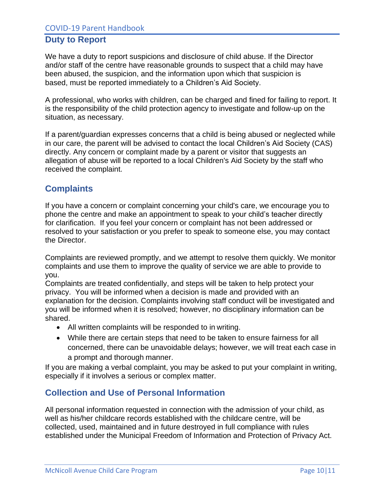## **Duty to Report**

We have a duty to report suspicions and disclosure of child abuse. If the Director and/or staff of the centre have reasonable grounds to suspect that a child may have been abused, the suspicion, and the information upon which that suspicion is based, must be reported immediately to a Children's Aid Society.

A professional, who works with children, can be charged and fined for failing to report. It is the responsibility of the child protection agency to investigate and follow-up on the situation, as necessary.

If a parent/guardian expresses concerns that a child is being abused or neglected while in our care, the parent will be advised to contact the [local Children's Aid Society](http://www.children.gov.on.ca/htdocs/English/childrensaid/reportingabuse/CASLocations.aspx) (CAS) directly. Any concern or complaint made by a parent or visitor that suggests an allegation of abuse will be reported to a local Children's Aid Society by the staff who received the complaint.

## **Complaints**

If you have a concern or complaint concerning your child's care, we encourage you to phone the centre and make an appointment to speak to your child's teacher directly for clarification. If you feel your concern or complaint has not been addressed or resolved to your satisfaction or you prefer to speak to someone else, you may contact the Director.

Complaints are reviewed promptly, and we attempt to resolve them quickly. We monitor complaints and use them to improve the quality of service we are able to provide to you.

Complaints are treated confidentially, and steps will be taken to help protect your privacy. You will be informed when a decision is made and provided with an explanation for the decision. Complaints involving staff conduct will be investigated and you will be informed when it is resolved; however, no disciplinary information can be shared.

- All written complaints will be responded to in writing.
- While there are certain steps that need to be taken to ensure fairness for all concerned, there can be unavoidable delays; however, we will treat each case in a prompt and thorough manner.

If you are making a verbal complaint, you may be asked to put your complaint in writing, especially if it involves a serious or complex matter.

# **Collection and Use of Personal Information**

All personal information requested in connection with the admission of your child, as well as his/her childcare records established with the childcare centre, will be collected, used, maintained and in future destroyed in full compliance with rules established under the Municipal Freedom of Information and Protection of Privacy Act.